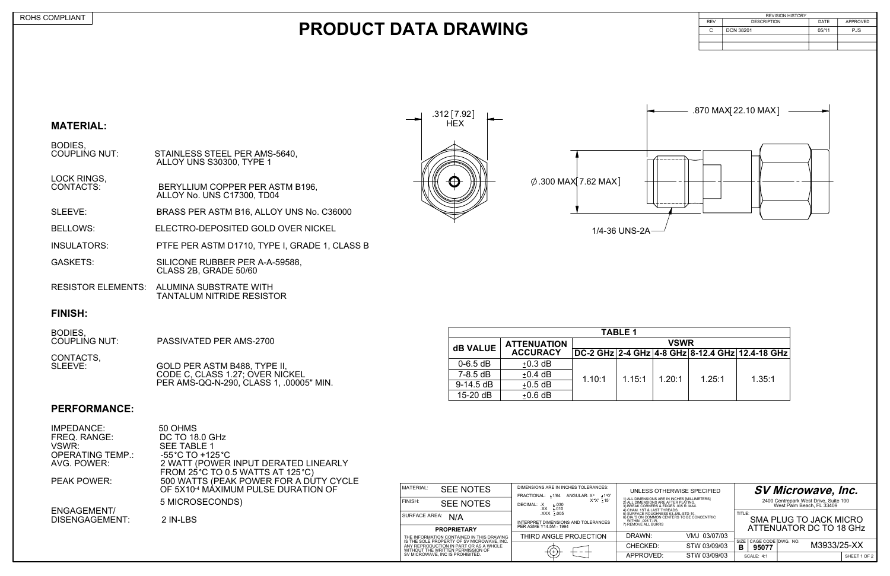

#### **BODIES,<br>COUPLING NUT:** STAINLESS STEEL PER AMS-5640, ALLOY UNS S30300, TYPE 1



1/4-36 UNS-2A

LOCK RINGS,<br>CONTACTS: CONTACTS: BERYLLIUM COPPER PER ASTM B196, ALLOY No. UNS C17300, TD04

## **PRODUCT DATA DRAWING**

#### **MATERIAL:**

CONTACTS,<br>SLEEVE: GOLD PER ASTM B488, TYPE II, CODE C, CLASS 1.27; OVER NICKEL PER AMS-QQ-N-290, CLASS 1, .00005" MIN.

SLEEVE: BRASS PER ASTM B16, ALLOY UNS No. C36000

BELLOWS: ELECTRO-DEPOSITED GOLD OVER NICKEL

INSULATORS: PTFE PER ASTM D1710, TYPE I, GRADE 1, CLASS B

- GASKETS: SILICONE RUBBER PER A-A-59588, CLASS 2B, GRADE 50/60
- RESISTOR ELEMENTS: ALUMINA SUBSTRATE WITH TANTALUM NITRIDE RESISTOR

### **FINISH:**

| <b>REVISION HISTORY</b> |                    |       |            |  |  |  |  |
|-------------------------|--------------------|-------|------------|--|--|--|--|
| <b>REV</b>              | <b>DESCRIPTION</b> | DATE  | APPROVED   |  |  |  |  |
|                         | <b>DCN 38201</b>   | 05/11 | <b>PJS</b> |  |  |  |  |
|                         |                    |       |            |  |  |  |  |
|                         |                    |       |            |  |  |  |  |
|                         |                    |       |            |  |  |  |  |

| BODIES,<br><b>COUPLING NUT:</b> | <b>PASSIVATED PER AMS-2700</b> |
|---------------------------------|--------------------------------|
|                                 |                                |

### **PERFORMANCE:**

| MATERIAL:            | <b>SEE NOTES</b>                                                                        | DIMENSIONS ARE IN INCHES TOLERANCES:<br>FRACTIONAL: +1/64<br>ANGULAR: X° ±1°0'                                                                                                                                                           |                                                                                                                                   | UNLESS OTHERWISE SPECIFIED | <b>SV Microwave, Inc.</b>               |                                                                    |              |  |
|----------------------|-----------------------------------------------------------------------------------------|------------------------------------------------------------------------------------------------------------------------------------------------------------------------------------------------------------------------------------------|-----------------------------------------------------------------------------------------------------------------------------------|----------------------------|-----------------------------------------|--------------------------------------------------------------------|--------------|--|
| i FINISH:            | <b>SEE NOTES</b>                                                                        | 1) ALL DIMENSIONS ARE IN INCHES [MILLIMETERS]<br>2) ALL DIMENSIONS ARE AFTER PLATING.<br>$X^{\bullet}X^{\prime}$ ± 15'<br>DECIMAL: .X<br>±.030<br>3) BREAK CORNERS & EDGES .005 R. MAX.<br>$XX \pm .010$<br>4) CHAM. 1ST & LAST THREADS. |                                                                                                                                   |                            |                                         | 2400 Centrepark West Drive, Suite 100<br>West Palm Beach. FL 33409 |              |  |
| <b>SURFACE AREA:</b> | N/A                                                                                     | $.XXX \pm .005$<br>INTERPRET DIMENSIONS AND TOLERANCES                                                                                                                                                                                   | 5) SURFACE ROUGHNESS 63. MIL-STD-10.<br>6) DIA.'S ON COMMON CENTERS TO BE CONCENTRIC<br>WITHIN .005 T.I.R.<br>7) REMOVE ALL BURRS |                            | TITLE:<br><b>SMA PLUG TO JACK MICRO</b> |                                                                    |              |  |
|                      | <b>PROPRIETARY</b>                                                                      | PER ASME Y14.5M - 1994                                                                                                                                                                                                                   |                                                                                                                                   |                            |                                         | ATTENUATOR DC TO 18 GHz                                            |              |  |
|                      | THE INFORMATION CONTAINED IN THIS DRAWING<br>IS THE SOLE PROPERTY OF SV MICROWAVE, INC. | THIRD ANGLE PROJECTION                                                                                                                                                                                                                   | DRAWN:                                                                                                                            | VMJ 03/07/03               | CAGE CODE DWG. NO.<br>SIZE              |                                                                    |              |  |
|                      | ANY REPRODUCTION IN PART OR AS A WHOLE<br>WITHOUT THE WRITTEN PERMISSION OF             |                                                                                                                                                                                                                                          | CHECKED:                                                                                                                          | STW 03/09/03               | в<br>95077                              | M3933/25-XX                                                        |              |  |
|                      | SV MICROWAVE, INC IS PROHIBITED.                                                        |                                                                                                                                                                                                                                          | APPROVED:                                                                                                                         | STW 03/09/03               | <b>SCALE: 4:1</b>                       |                                                                    | SHEET 1 OF 2 |  |

| <b>TABLE 1</b>  |                    |             |        |        |        |                                                 |  |  |  |  |
|-----------------|--------------------|-------------|--------|--------|--------|-------------------------------------------------|--|--|--|--|
| <b>dB VALUE</b> | <b>ATTENUATION</b> | <b>VSWR</b> |        |        |        |                                                 |  |  |  |  |
|                 | <b>ACCURACY</b>    |             |        |        |        | DC-2 GHz 2-4 GHz 4-8 GHz 8-12.4 GHz 12.4-18 GHz |  |  |  |  |
| $0 - 6.5$ dB    | $±0.3$ dB          |             |        |        |        |                                                 |  |  |  |  |
| $7-8.5$ dB      | $\pm$ 0.4 dB       | 1.10:1      | 1.15:1 | 1.20:1 | 1.25:1 | 1.35:1                                          |  |  |  |  |
| $9-14.5$ dB     | $±0.5$ dB          |             |        |        |        |                                                 |  |  |  |  |
| $15-20$ dB      | $±0.6$ dB          |             |        |        |        |                                                 |  |  |  |  |

| DISENGAGEMENT:                   | 2 IN-LBS                                                                     | <b>SURFACE AREA:</b> | N/A              |
|----------------------------------|------------------------------------------------------------------------------|----------------------|------------------|
| <b>ENGAGEMENT/</b>               | 5 MICROSECONDS)                                                              | <b>FINISH:</b>       | <b>SEE NOTES</b> |
|                                  | OF 5X10 <sup>-4</sup> MAXIMUM PULSE DURATION OF                              | <b>MATERIAL:</b>     | <b>SEE NOTES</b> |
| <b>PEAK POWER:</b>               | FROM 25 °C TO 0.5 WATTS AT 125 °C)<br>500 WATTS (PEAK POWER FOR A DUTY CYCLE |                      |                  |
| AVG. POWER:                      | 2 WATT (POWER INPUT DERATED LINEARLY                                         |                      |                  |
| VSWR:<br><b>OPERATING TEMP.:</b> | <b>SEE TABLE 1</b><br>$-55^{\circ}$ C TO +125 $^{\circ}$ C                   |                      |                  |
| FREQ. RANGE:                     | <b>DC TO 18.0 GHz</b>                                                        |                      |                  |
| IMPEDANCE:                       | 50 OHMS                                                                      |                      |                  |